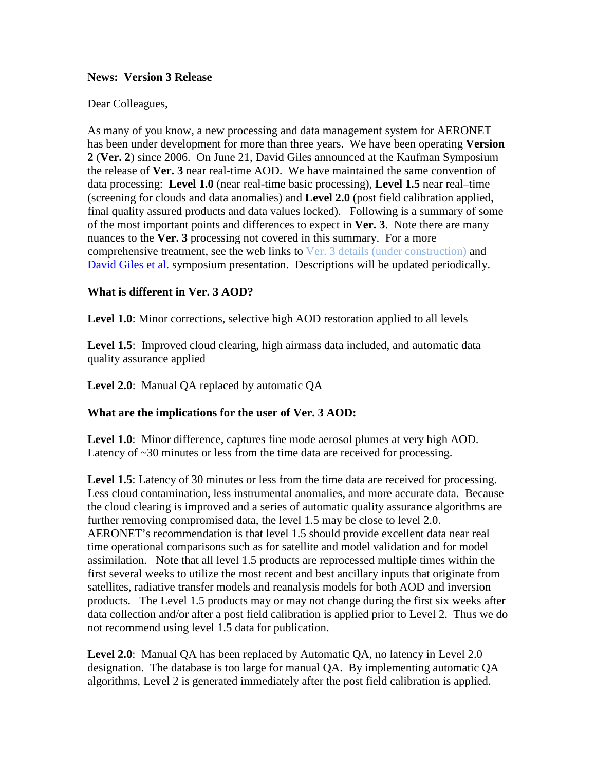#### **News: Version 3 Release**

#### Dear Colleagues,

As many of you know, a new processing and data management system for AERONET has been under development for more than three years. We have been operating **Version 2** (**Ver. 2**) since 2006. On June 21, David Giles announced at the Kaufman Symposium the release of **Ver. 3** near real-time AOD. We have maintained the same convention of data processing: **Level 1.0** (near real-time basic processing), **Level 1.5** near real–time (screening for clouds and data anomalies) and **Level 2.0** (post field calibration applied, final quality assured products and data values locked). Following is a summary of some of the most important points and differences to expect in **Ver. 3**. Note there are many nuances to the **Ver. 3** processing not covered in this summary. For a more comprehensive treatment, see the web links to Ver. 3 details (under construction) and [David Giles](http://aeronet.gsfc.nasa.gov/new_web/Documents/AERONET_V3_AOD.pdf) et al. symposium presentation. Descriptions will be updated periodically.

### **What is different in Ver. 3 AOD?**

**Level 1.0**: Minor corrections, selective high AOD restoration applied to all levels

Level 1.5: Improved cloud clearing, high airmass data included, and automatic data quality assurance applied

**Level 2.0**: Manual QA replaced by automatic QA

### **What are the implications for the user of Ver. 3 AOD:**

**Level 1.0**: Minor difference, captures fine mode aerosol plumes at very high AOD. Latency of  $\sim$ 30 minutes or less from the time data are received for processing.

**Level 1.5**: Latency of 30 minutes or less from the time data are received for processing. Less cloud contamination, less instrumental anomalies, and more accurate data. Because the cloud clearing is improved and a series of automatic quality assurance algorithms are further removing compromised data, the level 1.5 may be close to level 2.0. AERONET's recommendation is that level 1.5 should provide excellent data near real time operational comparisons such as for satellite and model validation and for model assimilation. Note that all level 1.5 products are reprocessed multiple times within the first several weeks to utilize the most recent and best ancillary inputs that originate from satellites, radiative transfer models and reanalysis models for both AOD and inversion products. The Level 1.5 products may or may not change during the first six weeks after data collection and/or after a post field calibration is applied prior to Level 2. Thus we do not recommend using level 1.5 data for publication.

**Level 2.0**: Manual QA has been replaced by Automatic QA, no latency in Level 2.0 designation. The database is too large for manual QA. By implementing automatic QA algorithms, Level 2 is generated immediately after the post field calibration is applied.